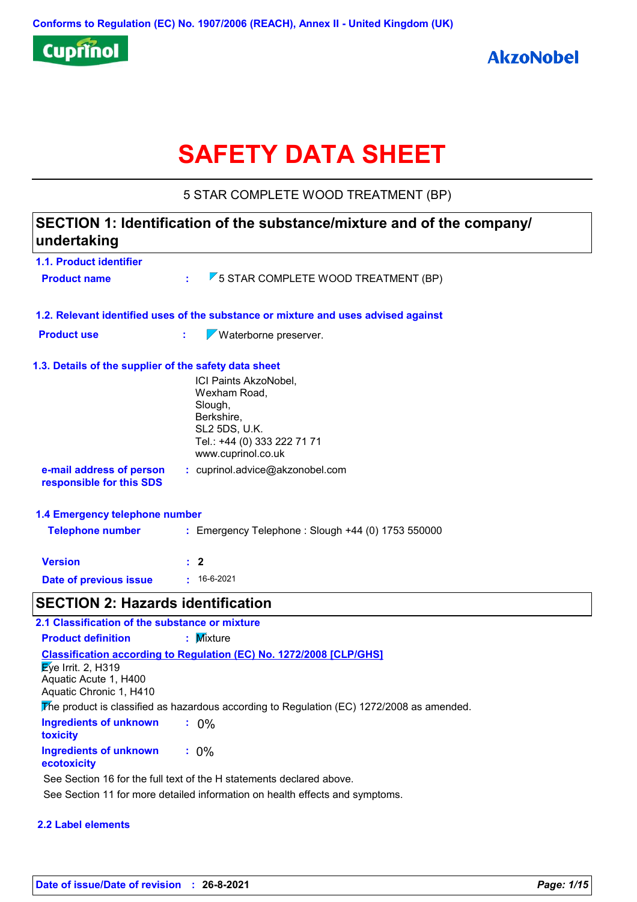

# **SAFETY DATA SHEET**

5 STAR COMPLETE WOOD TREATMENT (BP)

# **1.1. Product identifier 1.3. Details of the supplier of the safety data sheet 1.2. Relevant identified uses of the substance or mixture and uses advised against SECTION 1: Identification of the substance/mixture and of the company/ undertaking Date of previous issue :** 16-6-2021 ICI Paints AkzoNobel, Wexham Road, Slough, Berkshire, SL2 5DS, U.K. Tel.: +44 (0) 333 222 71 71 www.cuprinol.co.uk **e-mail address of person responsible for this SDS :** cuprinol.advice@akzonobel.com **1.4 Emergency telephone number Version : 2 Product name :** 5 STAR COMPLETE WOOD TREATMENT (BP) **Product use : Waterborne preserver. Telephone number :** Emergency Telephone : Slough +44 (0) 1753 550000 **SECTION 2: Hazards identification Classification according to Regulation (EC) No. 1272/2008 [CLP/GHS] 2.1 Classification of the substance or mixture Product definition <b>:** Mixture  $\overline{\mathsf{E}}$ ve Irrit. 2, H319 Aquatic Acute 1, H400

**Ingredients of unknown toxicity :** 0% **:** 0% Aquatic Chronic 1, H410 The product is classified as hazardous according to Regulation (EC) 1272/2008 as amended.

**Ingredients of unknown ecotoxicity**

See Section 16 for the full text of the H statements declared above.

See Section 11 for more detailed information on health effects and symptoms.

#### **2.2 Label elements**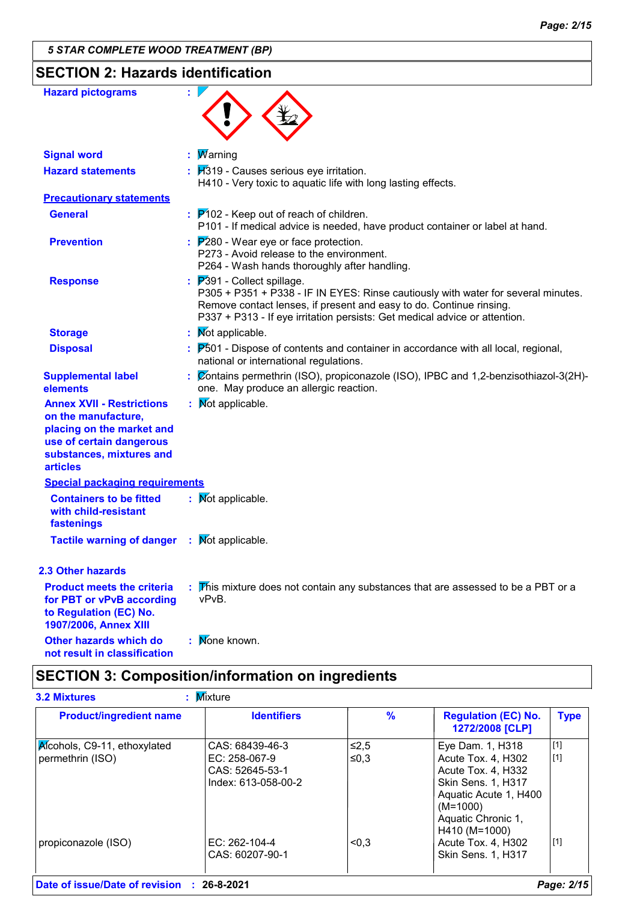# **SECTION 2: Hazards identification**

| <b>Hazard pictograms</b>                                                                                                                                        | ÷                                                                                                                                                                                                                                                                    |
|-----------------------------------------------------------------------------------------------------------------------------------------------------------------|----------------------------------------------------------------------------------------------------------------------------------------------------------------------------------------------------------------------------------------------------------------------|
| <b>Signal word</b>                                                                                                                                              | <b>Marning</b>                                                                                                                                                                                                                                                       |
| <b>Hazard statements</b>                                                                                                                                        | $\mathbf{B}$ $\mathbf{H}$ 319 - Causes serious eye irritation.<br>H410 - Very toxic to aquatic life with long lasting effects.                                                                                                                                       |
| <b>Precautionary statements</b>                                                                                                                                 |                                                                                                                                                                                                                                                                      |
| <b>General</b>                                                                                                                                                  | $\therefore$ $\mathsf{P}$ 102 - Keep out of reach of children.<br>P101 - If medical advice is needed, have product container or label at hand.                                                                                                                       |
| <b>Prevention</b>                                                                                                                                               | $P280$ - Wear eye or face protection.<br>P273 - Avoid release to the environment.<br>P264 - Wash hands thoroughly after handling.                                                                                                                                    |
| <b>Response</b>                                                                                                                                                 | $P391$ - Collect spillage.<br>P305 + P351 + P338 - IF IN EYES: Rinse cautiously with water for several minutes.<br>Remove contact lenses, if present and easy to do. Continue rinsing.<br>P337 + P313 - If eye irritation persists: Get medical advice or attention. |
| <b>Storage</b>                                                                                                                                                  | <b>Not applicable.</b>                                                                                                                                                                                                                                               |
| <b>Disposal</b>                                                                                                                                                 | P501 - Dispose of contents and container in accordance with all local, regional,<br>national or international regulations.                                                                                                                                           |
| <b>Supplemental label</b><br>elements                                                                                                                           | Contains permethrin (ISO), propiconazole (ISO), IPBC and 1,2-benzisothiazol-3(2H)-<br>one. May produce an allergic reaction.                                                                                                                                         |
| <b>Annex XVII - Restrictions</b><br>on the manufacture,<br>placing on the market and<br>use of certain dangerous<br>substances, mixtures and<br><b>articles</b> | Not applicable.                                                                                                                                                                                                                                                      |
| <b>Special packaging requirements</b>                                                                                                                           |                                                                                                                                                                                                                                                                      |
| <b>Containers to be fitted</b><br>with child-resistant<br>fastenings                                                                                            | : Mot applicable.                                                                                                                                                                                                                                                    |
| <b>Tactile warning of danger</b>                                                                                                                                | Not applicable.                                                                                                                                                                                                                                                      |
| <b>2.3 Other hazards</b>                                                                                                                                        |                                                                                                                                                                                                                                                                      |
| <b>Product meets the criteria</b><br>for PBT or vPvB according<br>to Regulation (EC) No.<br>1907/2006, Annex XIII                                               | This mixture does not contain any substances that are assessed to be a PBT or a<br>vPvB.                                                                                                                                                                             |
| Other hazards which do<br>not result in classification                                                                                                          | Mone known.                                                                                                                                                                                                                                                          |

# **SECTION 3: Composition/information on ingredients**

| <b>Product/ingredient name</b> | <b>Identifiers</b>  | $\%$   | <b>Regulation (EC) No.</b><br>1272/2008 [CLP] | <b>Type</b> |
|--------------------------------|---------------------|--------|-----------------------------------------------|-------------|
| Alcohols, C9-11, ethoxylated   | CAS: 68439-46-3     | $≤2,5$ | Eye Dam. 1, H318                              | $[1]$       |
| permethrin (ISO)               | EC: 258-067-9       | ≤0,3   | Acute Tox. 4, H302                            | [1]         |
|                                | CAS: 52645-53-1     |        | Acute Tox. 4, H332                            |             |
|                                | Index: 613-058-00-2 |        | Skin Sens. 1, H317                            |             |
|                                |                     |        | Aquatic Acute 1, H400                         |             |
|                                |                     |        | $(M=1000)$                                    |             |
|                                |                     |        | Aquatic Chronic 1,                            |             |
|                                |                     |        | H410 (M=1000)                                 |             |
| propiconazole (ISO)            | EC: $262-104-4$     | < 0.3  | Acute Tox. 4, H302                            | $[1]$       |
|                                | CAS: 60207-90-1     |        | <b>Skin Sens. 1, H317</b>                     |             |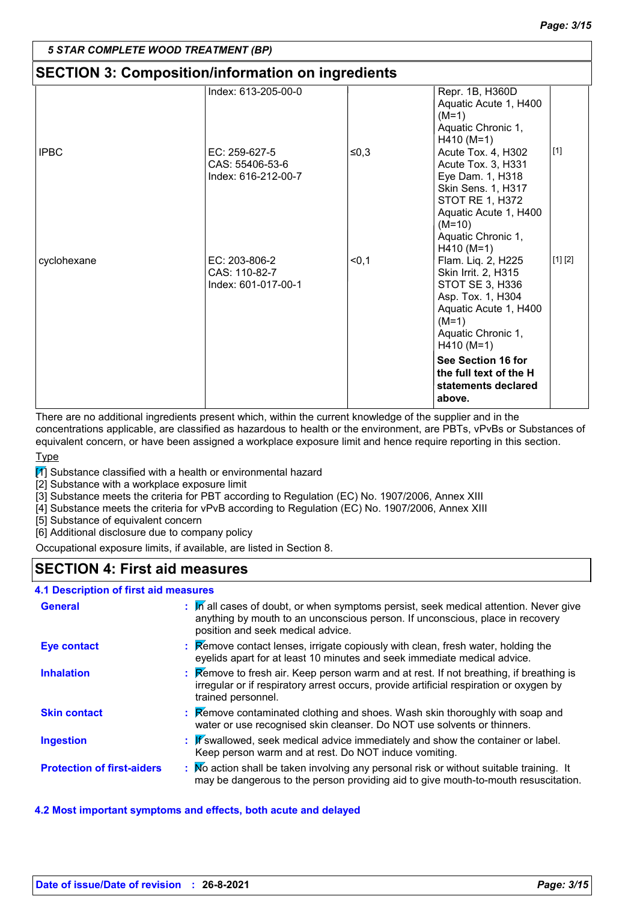# **SECTION 3: Composition/information on ingredients**

|             | Index: 613-205-00-0                                     |       | Repr. 1B, H360D<br>Aquatic Acute 1, H400<br>$(M=1)$<br>Aquatic Chronic 1,<br>$H410 (M=1)$                                                                                                                                                    |         |
|-------------|---------------------------------------------------------|-------|----------------------------------------------------------------------------------------------------------------------------------------------------------------------------------------------------------------------------------------------|---------|
| <b>IPBC</b> | EC: 259-627-5<br>CAS: 55406-53-6<br>Index: 616-212-00-7 | ≤0,3  | Acute Tox. 4, H302<br>Acute Tox. 3, H331<br>Eye Dam. 1, H318<br><b>Skin Sens. 1, H317</b><br>STOT RE 1, H372<br>Aquatic Acute 1, H400<br>$(M=10)$<br>Aquatic Chronic 1,<br>$H410 (M=1)$                                                      | $[1]$   |
| cyclohexane | $EC: 203-806-2$<br>CAS: 110-82-7<br>Index: 601-017-00-1 | $0,1$ | Flam. Liq. 2, H225<br>Skin Irrit. 2, H315<br>STOT SE 3, H336<br>Asp. Tox. 1, H304<br>Aquatic Acute 1, H400<br>$(M=1)$<br>Aquatic Chronic 1,<br>$H410 (M=1)$<br>See Section 16 for<br>the full text of the H<br>statements declared<br>above. | [1] [2] |

There are no additional ingredients present which, within the current knowledge of the supplier and in the concentrations applicable, are classified as hazardous to health or the environment, are PBTs, vPvBs or Substances of equivalent concern, or have been assigned a workplace exposure limit and hence require reporting in this section.

Type

 $\mathbb{Z}$  Substance classified with a health or environmental hazard

[2] Substance with a workplace exposure limit

[3] Substance meets the criteria for PBT according to Regulation (EC) No. 1907/2006, Annex XIII

[4] Substance meets the criteria for vPvB according to Regulation (EC) No. 1907/2006, Annex XIII

[5] Substance of equivalent concern

[6] Additional disclosure due to company policy

Occupational exposure limits, if available, are listed in Section 8.

# **SECTION 4: First aid measures**

### **4.1 Description of first aid measures**

| <b>General</b>                    | : M all cases of doubt, or when symptoms persist, seek medical attention. Never give<br>anything by mouth to an unconscious person. If unconscious, place in recovery<br>position and seek medical advice.                     |
|-----------------------------------|--------------------------------------------------------------------------------------------------------------------------------------------------------------------------------------------------------------------------------|
| <b>Eye contact</b>                | : Remove contact lenses, irrigate copiously with clean, fresh water, holding the<br>eyelids apart for at least 10 minutes and seek immediate medical advice.                                                                   |
| <b>Inhalation</b>                 | <b>Example 1</b> : <b>Remove to fresh air. Keep person warm and at rest. If not breathing, if breathing is</b><br>irregular or if respiratory arrest occurs, provide artificial respiration or oxygen by<br>trained personnel. |
| <b>Skin contact</b>               | <b>Kemove contaminated clothing and shoes. Wash skin thoroughly with soap and</b><br>water or use recognised skin cleanser. Do NOT use solvents or thinners.                                                                   |
| <b>Ingestion</b>                  | : If swallowed, seek medical advice immediately and show the container or label.<br>Keep person warm and at rest. Do NOT induce vomiting.                                                                                      |
| <b>Protection of first-aiders</b> | : No action shall be taken involving any personal risk or without suitable training. It<br>may be dangerous to the person providing aid to give mouth-to-mouth resuscitation.                                                  |

#### **4.2 Most important symptoms and effects, both acute and delayed**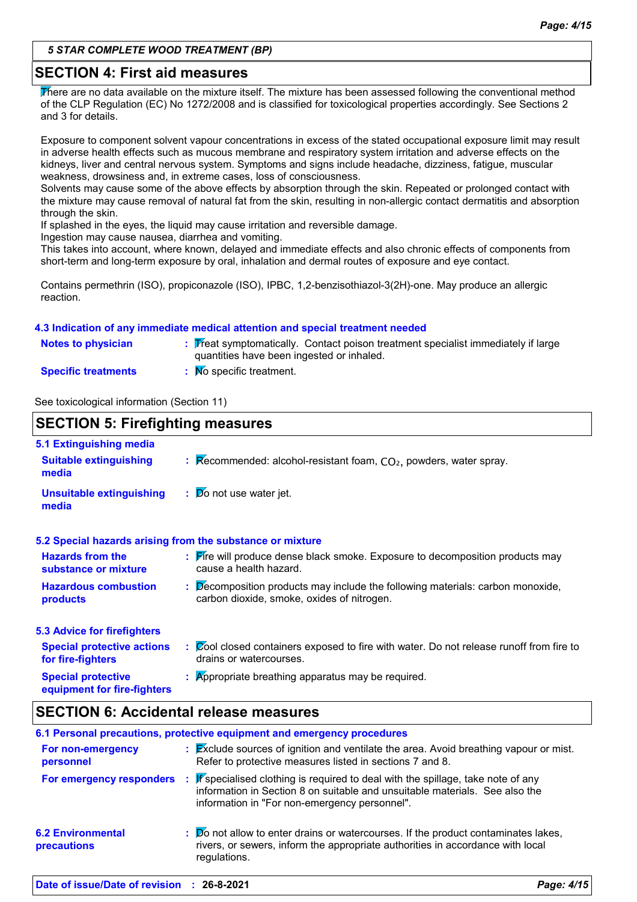### **SECTION 4: First aid measures**

There are no data available on the mixture itself. The mixture has been assessed following the conventional method of the CLP Regulation (EC) No 1272/2008 and is classified for toxicological properties accordingly. See Sections 2 and 3 for details.

Exposure to component solvent vapour concentrations in excess of the stated occupational exposure limit may result in adverse health effects such as mucous membrane and respiratory system irritation and adverse effects on the kidneys, liver and central nervous system. Symptoms and signs include headache, dizziness, fatigue, muscular weakness, drowsiness and, in extreme cases, loss of consciousness.

Solvents may cause some of the above effects by absorption through the skin. Repeated or prolonged contact with the mixture may cause removal of natural fat from the skin, resulting in non-allergic contact dermatitis and absorption through the skin.

If splashed in the eyes, the liquid may cause irritation and reversible damage.

Ingestion may cause nausea, diarrhea and vomiting.

This takes into account, where known, delayed and immediate effects and also chronic effects of components from short-term and long-term exposure by oral, inhalation and dermal routes of exposure and eye contact.

Contains permethrin (ISO), propiconazole (ISO), IPBC, 1,2-benzisothiazol-3(2H)-one. May produce an allergic reaction.

#### **4.3 Indication of any immediate medical attention and special treatment needed**

| <b>Notes to physician</b>  | : Treat symptomatically. Contact poison treatment specialist immediately if large<br>quantities have been ingested or inhaled. |
|----------------------------|--------------------------------------------------------------------------------------------------------------------------------|
| <b>Specific treatments</b> | No specific treatment.                                                                                                         |

See toxicological information (Section 11)

#### **SECTION 5: Firefighting measures** Recommended: alcohol-resistant foam, CO₂, powders, water spray. **: Do** not use water jet. **Hazardous combustion products Hazards from the substance or mixture Special protective 5.1 Extinguishing media :** Fire will produce dense black smoke. Exposure to decomposition products may **:** Decomposition products may include the following materials: carbon monoxide, **:** Appropriate breathing apparatus may be required. **Suitable extinguishing media Unsuitable extinguishing media 5.2 Special hazards arising from the substance or mixture 5.3 Advice for firefighters Special protective actions for fire-fighters :** Cool closed containers exposed to fire with water. Do not release runoff from fire to cause a health hazard. drains or watercourses. carbon dioxide, smoke, oxides of nitrogen.

# **SECTION 6: Accidental release measures**

**equipment for fire-fighters**

|                                            | 6.1 Personal precautions, protective equipment and emergency procedures                                                                                                                                                   |            |
|--------------------------------------------|---------------------------------------------------------------------------------------------------------------------------------------------------------------------------------------------------------------------------|------------|
| For non-emergency<br>personnel             | : Exclude sources of ignition and ventilate the area. Avoid breathing vapour or mist.<br>Refer to protective measures listed in sections 7 and 8.                                                                         |            |
| For emergency responders                   | $\mathbb{F}$ specialised clothing is required to deal with the spillage, take note of any<br>information in Section 8 on suitable and unsuitable materials. See also the<br>information in "For non-emergency personnel". |            |
| <b>6.2 Environmental</b><br>precautions    | : Do not allow to enter drains or watercourses. If the product contaminates lakes,<br>rivers, or sewers, inform the appropriate authorities in accordance with local<br>regulations.                                      |            |
| Date of issue/Date of revision : 26-8-2021 |                                                                                                                                                                                                                           | Page: 4/15 |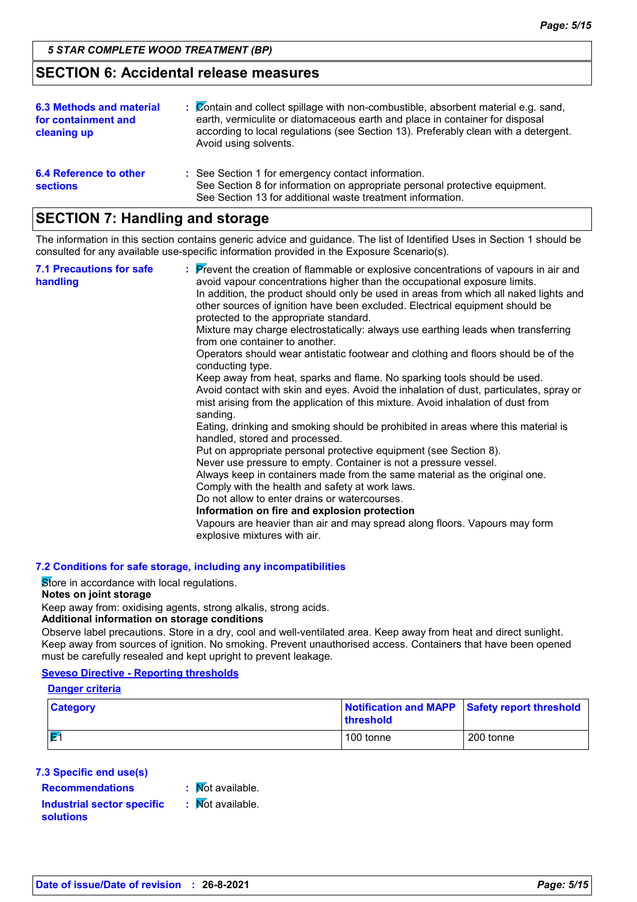#### **SECTION 6: Accidental release measures**

| <b>6.3 Methods and material</b><br>for containment and<br>cleaning up | : Contain and collect spillage with non-combustible, absorbent material e.g. sand,<br>earth, vermiculite or diatomaceous earth and place in container for disposal<br>according to local regulations (see Section 13). Preferably clean with a detergent.<br>Avoid using solvents. |
|-----------------------------------------------------------------------|------------------------------------------------------------------------------------------------------------------------------------------------------------------------------------------------------------------------------------------------------------------------------------|
| 6.4 Reference to other<br><b>sections</b>                             | : See Section 1 for emergency contact information.<br>See Section 8 for information on appropriate personal protective equipment.<br>See Section 13 for additional waste treatment information.                                                                                    |

### **SECTION 7: Handling and storage**

The information in this section contains generic advice and guidance. The list of Identified Uses in Section 1 should be consulted for any available use-specific information provided in the Exposure Scenario(s).

| Never use pressure to empty. Container is not a pressure vessel.<br>Always keep in containers made from the same material as the original one.<br>Comply with the health and safety at work laws.<br>Do not allow to enter drains or watercourses.<br>Information on fire and explosion protection<br>Vapours are heavier than air and may spread along floors. Vapours may form<br>explosive mixtures with air. | <b>7.1 Precautions for safe</b><br>handling | : Prevent the creation of flammable or explosive concentrations of vapours in air and<br>avoid vapour concentrations higher than the occupational exposure limits.<br>In addition, the product should only be used in areas from which all naked lights and<br>other sources of ignition have been excluded. Electrical equipment should be<br>protected to the appropriate standard.<br>Mixture may charge electrostatically: always use earthing leads when transferring<br>from one container to another.<br>Operators should wear antistatic footwear and clothing and floors should be of the<br>conducting type.<br>Keep away from heat, sparks and flame. No sparking tools should be used.<br>Avoid contact with skin and eyes. Avoid the inhalation of dust, particulates, spray or<br>mist arising from the application of this mixture. Avoid inhalation of dust from<br>sanding.<br>Eating, drinking and smoking should be prohibited in areas where this material is<br>handled, stored and processed.<br>Put on appropriate personal protective equipment (see Section 8). |
|------------------------------------------------------------------------------------------------------------------------------------------------------------------------------------------------------------------------------------------------------------------------------------------------------------------------------------------------------------------------------------------------------------------|---------------------------------------------|------------------------------------------------------------------------------------------------------------------------------------------------------------------------------------------------------------------------------------------------------------------------------------------------------------------------------------------------------------------------------------------------------------------------------------------------------------------------------------------------------------------------------------------------------------------------------------------------------------------------------------------------------------------------------------------------------------------------------------------------------------------------------------------------------------------------------------------------------------------------------------------------------------------------------------------------------------------------------------------------------------------------------------------------------------------------------------------|
|------------------------------------------------------------------------------------------------------------------------------------------------------------------------------------------------------------------------------------------------------------------------------------------------------------------------------------------------------------------------------------------------------------------|---------------------------------------------|------------------------------------------------------------------------------------------------------------------------------------------------------------------------------------------------------------------------------------------------------------------------------------------------------------------------------------------------------------------------------------------------------------------------------------------------------------------------------------------------------------------------------------------------------------------------------------------------------------------------------------------------------------------------------------------------------------------------------------------------------------------------------------------------------------------------------------------------------------------------------------------------------------------------------------------------------------------------------------------------------------------------------------------------------------------------------------------|

#### **7.2 Conditions for safe storage, including any incompatibilities**

Store in accordance with local regulations.

#### **Notes on joint storage**

Keep away from: oxidising agents, strong alkalis, strong acids.

#### **Additional information on storage conditions**

Observe label precautions. Store in a dry, cool and well-ventilated area. Keep away from heat and direct sunlight. Keep away from sources of ignition. No smoking. Prevent unauthorised access. Containers that have been opened must be carefully resealed and kept upright to prevent leakage.

#### **Seveso Directive - Reporting thresholds**

#### **Danger criteria**

| <b>Category</b> | Notification and MAPP Safety report threshold<br>∣threshold |           |
|-----------------|-------------------------------------------------------------|-----------|
| $\mathbf{F}'$   | 100 tonne                                                   | 200 tonne |

#### **7.3 Specific end use(s)**

**Recommendations :**

: Mot available.

#### **Industrial sector specific : solutions**

 $\mathbf \cdot \mathbf$  Mot available.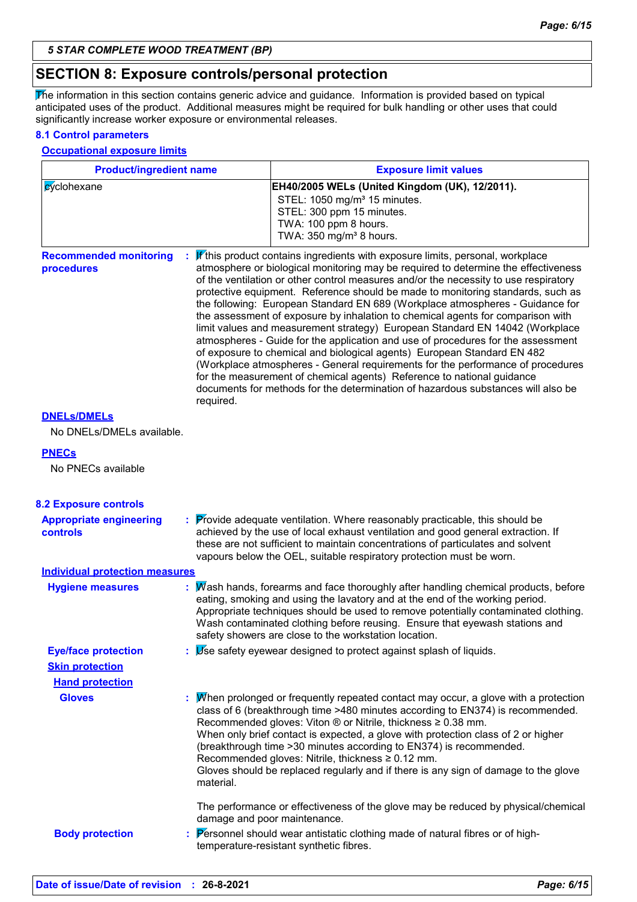### **SECTION 8: Exposure controls/personal protection**

The information in this section contains generic advice and guidance. Information is provided based on typical anticipated uses of the product. Additional measures might be required for bulk handling or other uses that could significantly increase worker exposure or environmental releases.

#### **8.1 Control parameters**

#### **Occupational exposure limits**

| <b>Product/ingredient name</b>                          |           | <b>Exposure limit values</b>                                                                                                                                                                                                                                                                                                                                                                                                                                                                                                                                                                                                                                                                                                                                                                                                                                                                                                                                                                                        |  |
|---------------------------------------------------------|-----------|---------------------------------------------------------------------------------------------------------------------------------------------------------------------------------------------------------------------------------------------------------------------------------------------------------------------------------------------------------------------------------------------------------------------------------------------------------------------------------------------------------------------------------------------------------------------------------------------------------------------------------------------------------------------------------------------------------------------------------------------------------------------------------------------------------------------------------------------------------------------------------------------------------------------------------------------------------------------------------------------------------------------|--|
| cyclohexane                                             |           | EH40/2005 WELs (United Kingdom (UK), 12/2011).<br>STEL: 1050 mg/m <sup>3</sup> 15 minutes.<br>STEL: 300 ppm 15 minutes.<br>TWA: 100 ppm 8 hours.<br>TWA: 350 mg/m <sup>3</sup> 8 hours.                                                                                                                                                                                                                                                                                                                                                                                                                                                                                                                                                                                                                                                                                                                                                                                                                             |  |
| <b>Recommended monitoring</b><br>procedures             | required. | If this product contains ingredients with exposure limits, personal, workplace<br>atmosphere or biological monitoring may be required to determine the effectiveness<br>of the ventilation or other control measures and/or the necessity to use respiratory<br>protective equipment. Reference should be made to monitoring standards, such as<br>the following: European Standard EN 689 (Workplace atmospheres - Guidance for<br>the assessment of exposure by inhalation to chemical agents for comparison with<br>limit values and measurement strategy) European Standard EN 14042 (Workplace<br>atmospheres - Guide for the application and use of procedures for the assessment<br>of exposure to chemical and biological agents) European Standard EN 482<br>(Workplace atmospheres - General requirements for the performance of procedures<br>for the measurement of chemical agents) Reference to national guidance<br>documents for methods for the determination of hazardous substances will also be |  |
| <b>DNELS/DMELS</b><br>No DNELs/DMELs available.         |           |                                                                                                                                                                                                                                                                                                                                                                                                                                                                                                                                                                                                                                                                                                                                                                                                                                                                                                                                                                                                                     |  |
| <b>PNECs</b><br>No PNECs available                      |           |                                                                                                                                                                                                                                                                                                                                                                                                                                                                                                                                                                                                                                                                                                                                                                                                                                                                                                                                                                                                                     |  |
| <b>8.2 Exposure controls</b><br>Annropriate engineering |           | $\cdot$ Provide adequate ventilation Where reasonably practicable this should be                                                                                                                                                                                                                                                                                                                                                                                                                                                                                                                                                                                                                                                                                                                                                                                                                                                                                                                                    |  |

| <b>Appropriate engineering</b><br>controls | : Provide adequate ventilation. Where reasonably practicable, this should be<br>achieved by the use of local exhaust ventilation and good general extraction. If<br>these are not sufficient to maintain concentrations of particulates and solvent<br>vapours below the OEL, suitable respiratory protection must be worn. |
|--------------------------------------------|-----------------------------------------------------------------------------------------------------------------------------------------------------------------------------------------------------------------------------------------------------------------------------------------------------------------------------|
| Individual protection measures             |                                                                                                                                                                                                                                                                                                                             |

| <b>Hygiene measures</b>    | : Mash hands, forearms and face thoroughly after handling chemical products, before<br>eating, smoking and using the lavatory and at the end of the working period.<br>Appropriate techniques should be used to remove potentially contaminated clothing.<br>Wash contaminated clothing before reusing. Ensure that eyewash stations and<br>safety showers are close to the workstation location.                                                                                                                                                                               |
|----------------------------|---------------------------------------------------------------------------------------------------------------------------------------------------------------------------------------------------------------------------------------------------------------------------------------------------------------------------------------------------------------------------------------------------------------------------------------------------------------------------------------------------------------------------------------------------------------------------------|
| <b>Eye/face protection</b> | $\mathbf{B}$ Use safety eyewear designed to protect against splash of liquids.                                                                                                                                                                                                                                                                                                                                                                                                                                                                                                  |
| <b>Skin protection</b>     |                                                                                                                                                                                                                                                                                                                                                                                                                                                                                                                                                                                 |
| <b>Hand protection</b>     |                                                                                                                                                                                                                                                                                                                                                                                                                                                                                                                                                                                 |
| <b>Gloves</b>              | : Mhen prolonged or frequently repeated contact may occur, a glove with a protection<br>class of 6 (breakthrough time >480 minutes according to EN374) is recommended.<br>Recommended gloves: Viton $\circledR$ or Nitrile, thickness $\geq 0.38$ mm.<br>When only brief contact is expected, a glove with protection class of 2 or higher<br>(breakthrough time > 30 minutes according to EN374) is recommended.<br>Recommended gloves: Nitrile, thickness $\geq 0.12$ mm.<br>Gloves should be replaced regularly and if there is any sign of damage to the glove<br>material. |
| <b>Body protection</b>     | The performance or effectiveness of the glove may be reduced by physical/chemical<br>damage and poor maintenance.<br>: Personnel should wear antistatic clothing made of natural fibres or of high-<br>temperature-resistant synthetic fibres.                                                                                                                                                                                                                                                                                                                                  |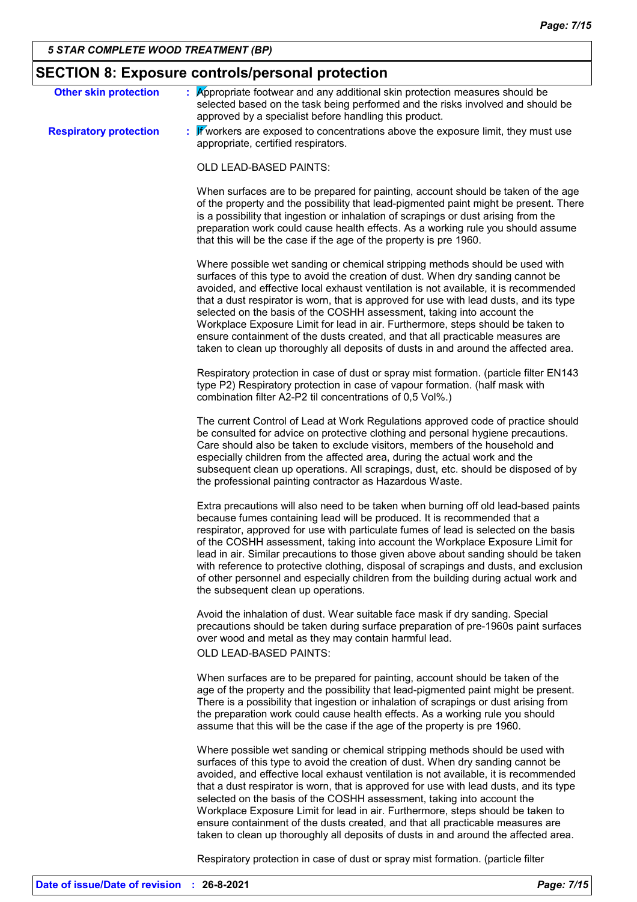| <b>SECTION 8: Exposure controls/personal protection</b> |                                                                                                                                                                                                                                                                                                                                                                                                                                                                                                                                                                                                                                                                                         |  |  |
|---------------------------------------------------------|-----------------------------------------------------------------------------------------------------------------------------------------------------------------------------------------------------------------------------------------------------------------------------------------------------------------------------------------------------------------------------------------------------------------------------------------------------------------------------------------------------------------------------------------------------------------------------------------------------------------------------------------------------------------------------------------|--|--|
| <b>Other skin protection</b>                            | $\frac{1}{2}$ Appropriate footwear and any additional skin protection measures should be<br>selected based on the task being performed and the risks involved and should be<br>approved by a specialist before handling this product.                                                                                                                                                                                                                                                                                                                                                                                                                                                   |  |  |
| <b>Respiratory protection</b>                           | : $\mathbf F$ workers are exposed to concentrations above the exposure limit, they must use<br>appropriate, certified respirators.                                                                                                                                                                                                                                                                                                                                                                                                                                                                                                                                                      |  |  |
|                                                         | OLD LEAD-BASED PAINTS:                                                                                                                                                                                                                                                                                                                                                                                                                                                                                                                                                                                                                                                                  |  |  |
|                                                         | When surfaces are to be prepared for painting, account should be taken of the age<br>of the property and the possibility that lead-pigmented paint might be present. There<br>is a possibility that ingestion or inhalation of scrapings or dust arising from the<br>preparation work could cause health effects. As a working rule you should assume<br>that this will be the case if the age of the property is pre 1960.                                                                                                                                                                                                                                                             |  |  |
|                                                         | Where possible wet sanding or chemical stripping methods should be used with<br>surfaces of this type to avoid the creation of dust. When dry sanding cannot be<br>avoided, and effective local exhaust ventilation is not available, it is recommended<br>that a dust respirator is worn, that is approved for use with lead dusts, and its type<br>selected on the basis of the COSHH assessment, taking into account the<br>Workplace Exposure Limit for lead in air. Furthermore, steps should be taken to<br>ensure containment of the dusts created, and that all practicable measures are<br>taken to clean up thoroughly all deposits of dusts in and around the affected area. |  |  |
|                                                         | Respiratory protection in case of dust or spray mist formation. (particle filter EN143<br>type P2) Respiratory protection in case of vapour formation. (half mask with<br>combination filter A2-P2 til concentrations of 0,5 Vol%.)                                                                                                                                                                                                                                                                                                                                                                                                                                                     |  |  |
|                                                         | The current Control of Lead at Work Regulations approved code of practice should<br>be consulted for advice on protective clothing and personal hygiene precautions.<br>Care should also be taken to exclude visitors, members of the household and<br>especially children from the affected area, during the actual work and the<br>subsequent clean up operations. All scrapings, dust, etc. should be disposed of by<br>the professional painting contractor as Hazardous Waste.                                                                                                                                                                                                     |  |  |
|                                                         | Extra precautions will also need to be taken when burning off old lead-based paints<br>because fumes containing lead will be produced. It is recommended that a<br>respirator, approved for use with particulate fumes of lead is selected on the basis<br>of the COSHH assessment, taking into account the Workplace Exposure Limit for<br>lead in air. Similar precautions to those given above about sanding should be taken<br>with reference to protective clothing, disposal of scrapings and dusts, and exclusion<br>of other personnel and especially children from the building during actual work and<br>the subsequent clean up operations.                                  |  |  |
|                                                         | Avoid the inhalation of dust. Wear suitable face mask if dry sanding. Special<br>precautions should be taken during surface preparation of pre-1960s paint surfaces<br>over wood and metal as they may contain harmful lead.<br>OLD LEAD-BASED PAINTS:                                                                                                                                                                                                                                                                                                                                                                                                                                  |  |  |
|                                                         | When surfaces are to be prepared for painting, account should be taken of the<br>age of the property and the possibility that lead-pigmented paint might be present.<br>There is a possibility that ingestion or inhalation of scrapings or dust arising from<br>the preparation work could cause health effects. As a working rule you should<br>assume that this will be the case if the age of the property is pre 1960.                                                                                                                                                                                                                                                             |  |  |
|                                                         | Where possible wet sanding or chemical stripping methods should be used with<br>surfaces of this type to avoid the creation of dust. When dry sanding cannot be<br>avoided, and effective local exhaust ventilation is not available, it is recommended<br>that a dust respirator is worn, that is approved for use with lead dusts, and its type<br>selected on the basis of the COSHH assessment, taking into account the<br>Workplace Exposure Limit for lead in air. Furthermore, steps should be taken to<br>ensure containment of the dusts created, and that all practicable measures are<br>taken to clean up thoroughly all deposits of dusts in and around the affected area. |  |  |
|                                                         | Respiratory protection in case of dust or spray mist formation. (particle filter                                                                                                                                                                                                                                                                                                                                                                                                                                                                                                                                                                                                        |  |  |

**Date of issue/Date of revision : 26-8-2021** *Page: 7/15*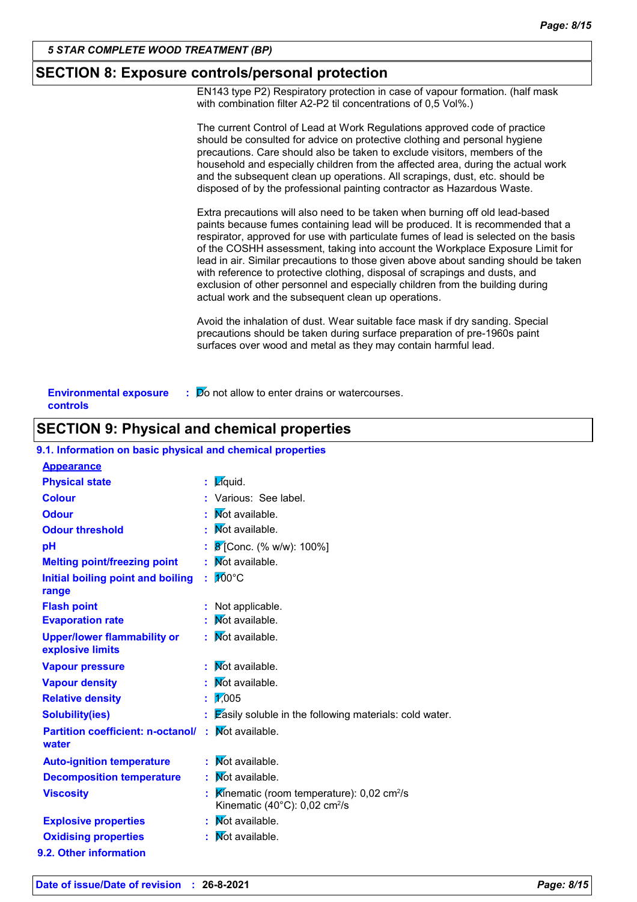### **SECTION 8: Exposure controls/personal protection**

EN143 type P2) Respiratory protection in case of vapour formation. (half mask with combination filter A2-P2 til concentrations of 0,5 Vol%.)

|                                           | The current Control of Lead at Work Regulations approved code of practice<br>should be consulted for advice on protective clothing and personal hygiene<br>precautions. Care should also be taken to exclude visitors, members of the<br>household and especially children from the affected area, during the actual work<br>and the subsequent clean up operations. All scrapings, dust, etc. should be<br>disposed of by the professional painting contractor as Hazardous Waste.                                                                                                                                                                    |
|-------------------------------------------|--------------------------------------------------------------------------------------------------------------------------------------------------------------------------------------------------------------------------------------------------------------------------------------------------------------------------------------------------------------------------------------------------------------------------------------------------------------------------------------------------------------------------------------------------------------------------------------------------------------------------------------------------------|
|                                           | Extra precautions will also need to be taken when burning off old lead-based<br>paints because fumes containing lead will be produced. It is recommended that a<br>respirator, approved for use with particulate fumes of lead is selected on the basis<br>of the COSHH assessment, taking into account the Workplace Exposure Limit for<br>lead in air. Similar precautions to those given above about sanding should be taken<br>with reference to protective clothing, disposal of scrapings and dusts, and<br>exclusion of other personnel and especially children from the building during<br>actual work and the subsequent clean up operations. |
|                                           | Avoid the inhalation of dust. Wear suitable face mask if dry sanding. Special<br>precautions should be taken during surface preparation of pre-1960s paint<br>surfaces over wood and metal as they may contain harmful lead.                                                                                                                                                                                                                                                                                                                                                                                                                           |
| <b>Environmental exposure</b><br>controls | : Do not allow to enter drains or watercourses.                                                                                                                                                                                                                                                                                                                                                                                                                                                                                                                                                                                                        |

# **SECTION 9: Physical and chemical properties**

#### **9.1. Information on basic physical and chemical properties**

| <b>Appearance</b>                                      |                                                                                                                         |
|--------------------------------------------------------|-------------------------------------------------------------------------------------------------------------------------|
| <b>Physical state</b>                                  | Zquid.                                                                                                                  |
| <b>Colour</b>                                          | Various: See label.                                                                                                     |
| <b>Odour</b>                                           | Not available.                                                                                                          |
| <b>Odour threshold</b>                                 | Not available.                                                                                                          |
| рH                                                     | 8 [Conc. (% w/w): 100%]                                                                                                 |
| <b>Melting point/freezing point</b>                    | Not available.                                                                                                          |
| Initial boiling point and boiling                      | 100°C                                                                                                                   |
| range                                                  |                                                                                                                         |
| <b>Flash point</b>                                     | Not applicable.                                                                                                         |
| <b>Evaporation rate</b>                                | Not available.                                                                                                          |
| <b>Upper/lower flammability or</b><br>explosive limits | Not available.                                                                                                          |
| <b>Vapour pressure</b>                                 | Not available.                                                                                                          |
| <b>Vapour density</b>                                  | Not available.                                                                                                          |
| <b>Relative density</b>                                | $\sqrt{1005}$                                                                                                           |
| <b>Solubility(ies)</b>                                 | <b>Zasily soluble in the following materials: cold water.</b>                                                           |
| <b>Partition coefficient: n-octanol/</b><br>water      | Not available.<br>÷                                                                                                     |
| <b>Auto-ignition temperature</b>                       | Not available.<br>÷.                                                                                                    |
| <b>Decomposition temperature</b>                       | <b>Not available.</b><br>t                                                                                              |
| <b>Viscosity</b>                                       | Kinematic (room temperature): $0.02 \text{ cm}^2/\text{s}$<br>t<br>Kinematic (40 $^{\circ}$ C): 0,02 cm <sup>2</sup> /s |
| <b>Explosive properties</b>                            | $\mathbf{W}$ ot available.                                                                                              |
| <b>Oxidising properties</b>                            | Not available.<br>÷                                                                                                     |
| 9.2. Other information                                 |                                                                                                                         |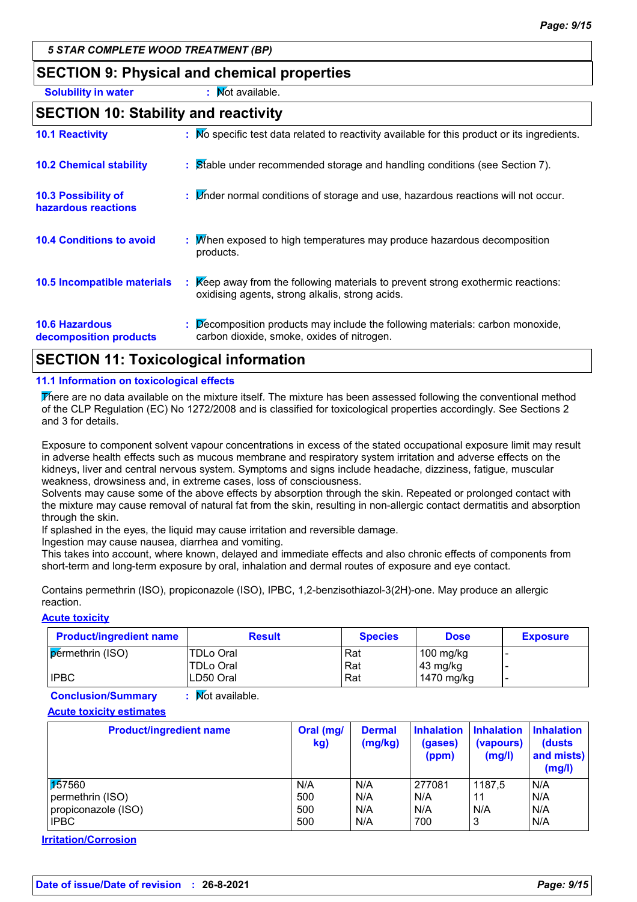# **SECTION 9: Physical and chemical properties**

**Solubility in water :** Not available.

### **SECTION 10: Stability and reactivity**

| <b>10.1 Reactivity</b>                          | : No specific test data related to reactivity available for this product or its ingredients.                                            |
|-------------------------------------------------|-----------------------------------------------------------------------------------------------------------------------------------------|
| <b>10.2 Chemical stability</b>                  | : Stable under recommended storage and handling conditions (see Section 7).                                                             |
| 10.3 Possibility of<br>hazardous reactions      | : <i>M</i> nder normal conditions of storage and use, hazardous reactions will not occur.                                               |
| <b>10.4 Conditions to avoid</b>                 | : M/hen exposed to high temperatures may produce hazardous decomposition<br>products.                                                   |
| 10.5 Incompatible materials                     | Keep away from the following materials to prevent strong exothermic reactions:<br>÷.<br>oxidising agents, strong alkalis, strong acids. |
| <b>10.6 Hazardous</b><br>decomposition products | : Decomposition products may include the following materials: carbon monoxide,<br>carbon dioxide, smoke, oxides of nitrogen.            |

# **SECTION 11: Toxicological information**

#### **11.1 Information on toxicological effects**

There are no data available on the mixture itself. The mixture has been assessed following the conventional method of the CLP Regulation (EC) No 1272/2008 and is classified for toxicological properties accordingly. See Sections 2 and 3 for details.

Exposure to component solvent vapour concentrations in excess of the stated occupational exposure limit may result in adverse health effects such as mucous membrane and respiratory system irritation and adverse effects on the kidneys, liver and central nervous system. Symptoms and signs include headache, dizziness, fatigue, muscular weakness, drowsiness and, in extreme cases, loss of consciousness.

Solvents may cause some of the above effects by absorption through the skin. Repeated or prolonged contact with the mixture may cause removal of natural fat from the skin, resulting in non-allergic contact dermatitis and absorption through the skin.

If splashed in the eyes, the liquid may cause irritation and reversible damage.

Ingestion may cause nausea, diarrhea and vomiting.

This takes into account, where known, delayed and immediate effects and also chronic effects of components from short-term and long-term exposure by oral, inhalation and dermal routes of exposure and eye contact.

Contains permethrin (ISO), propiconazole (ISO), IPBC, 1,2-benzisothiazol-3(2H)-one. May produce an allergic reaction.

#### **Acute toxicity**

| <b>Product/ingredient name</b> | <b>Result</b>    | <b>Species</b> | <b>Dose</b>        | <b>Exposure</b> |
|--------------------------------|------------------|----------------|--------------------|-----------------|
| permethrin (ISO)               | <b>TDLo Oral</b> | Rat            | $100$ mg/kg        |                 |
|                                | <b>TDLo Oral</b> | Rat            | $43 \text{ mg/kg}$ |                 |
| <b>IPBC</b>                    | LD50 Oral        | Rat            | 1470 mg/kg         |                 |

**Conclusion/Summary : Mot available.** 

#### **Acute toxicity estimates**

| <b>Product/ingredient name</b> | Oral (mg/<br>kg) | <b>Dermal</b><br>(mg/kg) | <b>Inhalation</b><br>(gases)<br>(ppm) | <b>Inhalation</b><br>(vapours)<br>(mg/l) | <b>Inhalation</b><br>(dusts)<br>and mists)<br>(mg/l) |
|--------------------------------|------------------|--------------------------|---------------------------------------|------------------------------------------|------------------------------------------------------|
| 157560                         | N/A              | N/A                      | 277081                                | 1187,5                                   | N/A                                                  |
| permethrin (ISO)               | 500              | N/A                      | N/A                                   | 11                                       | N/A                                                  |
| propiconazole (ISO)            | 500              | N/A                      | N/A                                   | N/A                                      | N/A                                                  |
| <b>IPBC</b>                    | 500              | N/A                      | 700                                   | 3                                        | N/A                                                  |

**Irritation/Corrosion**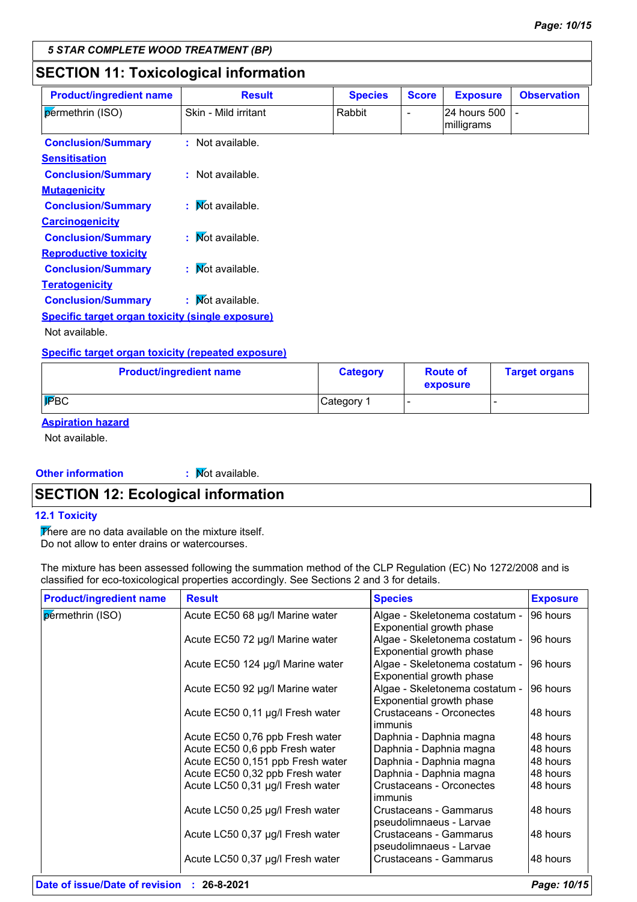# **SECTION 11: Toxicological information**

| <b>Product/ingredient name</b>                   | <b>Result</b>        | <b>Species</b> | <b>Score</b>   | <b>Exposure</b>            | <b>Observation</b> |
|--------------------------------------------------|----------------------|----------------|----------------|----------------------------|--------------------|
| permethrin (ISO)                                 | Skin - Mild irritant | Rabbit         | $\blacksquare$ | 24 hours 500<br>milligrams |                    |
| <b>Conclusion/Summary</b>                        | : Not available.     |                |                |                            |                    |
| <b>Sensitisation</b>                             |                      |                |                |                            |                    |
| <b>Conclusion/Summary</b>                        | : Not available.     |                |                |                            |                    |
| <b>Mutagenicity</b>                              |                      |                |                |                            |                    |
| <b>Conclusion/Summary</b>                        | : Mot available.     |                |                |                            |                    |
| <b>Carcinogenicity</b>                           |                      |                |                |                            |                    |
| <b>Conclusion/Summary</b>                        | : Mot available.     |                |                |                            |                    |
| <b>Reproductive toxicity</b>                     |                      |                |                |                            |                    |
| <b>Conclusion/Summary</b>                        | : Not available.     |                |                |                            |                    |
| <b>Teratogenicity</b>                            |                      |                |                |                            |                    |
| <b>Conclusion/Summary</b>                        | : Mot available.     |                |                |                            |                    |
| Specific target organ toxicity (single exposure) |                      |                |                |                            |                    |
| Not available.                                   |                      |                |                |                            |                    |

#### **Specific target organ toxicity (repeated exposure)**

| <b>Product/ingredient name</b> | <b>Category</b> | <b>Route of</b><br>exposure | <b>Target organs</b> |
|--------------------------------|-----------------|-----------------------------|----------------------|
| FBC                            | Category 1      |                             |                      |

### **Aspiration hazard**

Not available.

**Other information :**

 $\mathbf F$  Mot available.

# **SECTION 12: Ecological information**

#### **12.1 Toxicity**

There are no data available on the mixture itself. Do not allow to enter drains or watercourses.

The mixture has been assessed following the summation method of the CLP Regulation (EC) No 1272/2008 and is classified for eco-toxicological properties accordingly. See Sections 2 and 3 for details.

| <b>Product/ingredient name</b> | <b>Result</b>                    | <b>Species</b>                                    | <b>Exposure</b> |
|--------------------------------|----------------------------------|---------------------------------------------------|-----------------|
| permethrin (ISO)               | Acute EC50 68 µg/l Marine water  | Algae - Skeletonema costatum -                    | 96 hours        |
|                                |                                  | Exponential growth phase                          |                 |
|                                | Acute EC50 72 µg/l Marine water  | Algae - Skeletonema costatum -                    | 96 hours        |
|                                |                                  | Exponential growth phase                          |                 |
|                                | Acute EC50 124 µg/l Marine water | Algae - Skeletonema costatum -                    | 96 hours        |
|                                |                                  | Exponential growth phase                          |                 |
|                                | Acute EC50 92 µg/l Marine water  | Algae - Skeletonema costatum -                    | 196 hours       |
|                                |                                  | Exponential growth phase                          |                 |
|                                | Acute EC50 0,11 µg/l Fresh water | Crustaceans - Orconectes                          | 48 hours        |
|                                |                                  | immunis                                           |                 |
|                                | Acute EC50 0,76 ppb Fresh water  | Daphnia - Daphnia magna                           | 48 hours        |
|                                | Acute EC50 0,6 ppb Fresh water   | Daphnia - Daphnia magna                           | 48 hours        |
|                                | Acute EC50 0,151 ppb Fresh water | Daphnia - Daphnia magna                           | 48 hours        |
|                                | Acute EC50 0,32 ppb Fresh water  | Daphnia - Daphnia magna                           | 48 hours        |
|                                | Acute LC50 0,31 µg/l Fresh water | Crustaceans - Orconectes<br>immunis               | 48 hours        |
|                                | Acute LC50 0,25 µg/l Fresh water | Crustaceans - Gammarus                            | 48 hours        |
|                                |                                  | pseudolimnaeus - Larvae                           |                 |
|                                | Acute LC50 0,37 µg/l Fresh water | Crustaceans - Gammarus<br>pseudolimnaeus - Larvae | 48 hours        |
|                                | Acute LC50 0,37 µg/l Fresh water | <b>Crustaceans - Gammarus</b>                     | 48 hours        |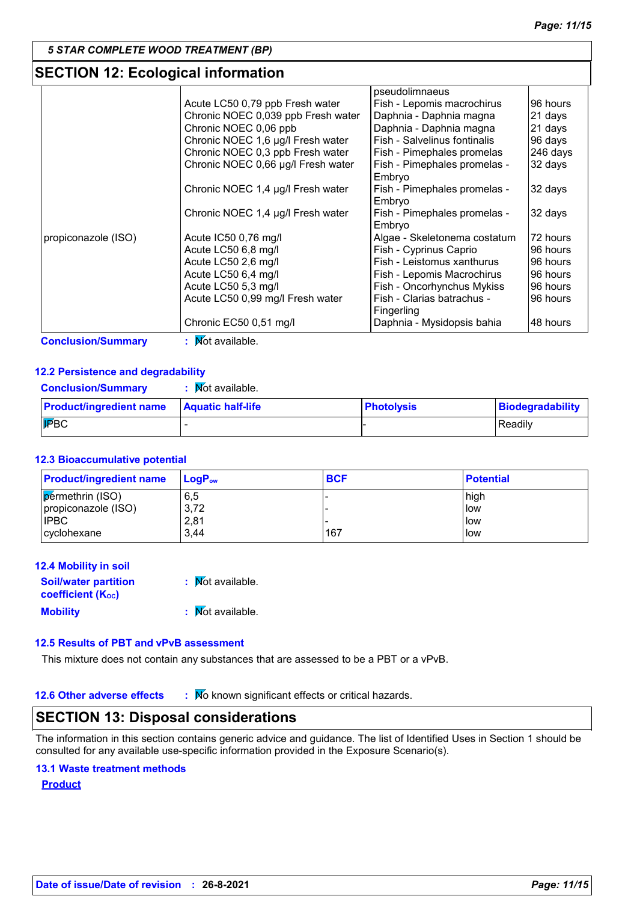# **SECTION 12: Ecological information**

|                     |                                    | pseudolimnaeus               |          |
|---------------------|------------------------------------|------------------------------|----------|
|                     | Acute LC50 0,79 ppb Fresh water    | Fish - Lepomis macrochirus   | 96 hours |
|                     | Chronic NOEC 0,039 ppb Fresh water | Daphnia - Daphnia magna      | 21 days  |
|                     | Chronic NOEC 0,06 ppb              | Daphnia - Daphnia magna      | 21 days  |
|                     | Chronic NOEC 1,6 µg/l Fresh water  | Fish - Salvelinus fontinalis | 96 days  |
|                     | Chronic NOEC 0,3 ppb Fresh water   | Fish - Pimephales promelas   | 246 days |
|                     | Chronic NOEC 0,66 µg/l Fresh water | Fish - Pimephales promelas - | 32 days  |
|                     |                                    | Embryo                       |          |
|                     | Chronic NOEC 1,4 µg/l Fresh water  | Fish - Pimephales promelas - | 32 days  |
|                     |                                    | Embryo                       |          |
|                     | Chronic NOEC 1,4 µg/l Fresh water  | Fish - Pimephales promelas - | 32 days  |
|                     |                                    | Embryo                       |          |
| propiconazole (ISO) | Acute IC50 0,76 mg/l               | Algae - Skeletonema costatum | 72 hours |
|                     | Acute LC50 6,8 mg/l                | Fish - Cyprinus Caprio       | 96 hours |
|                     | Acute LC50 2,6 mg/l                | Fish - Leistomus xanthurus   | 96 hours |
|                     | Acute LC50 6,4 mg/l                | Fish - Lepomis Macrochirus   | 96 hours |
|                     | Acute LC50 5,3 mg/l                | Fish - Oncorhynchus Mykiss   | 96 hours |
|                     | Acute LC50 0,99 mg/l Fresh water   | Fish - Clarias batrachus -   | 96 hours |
|                     |                                    | Fingerling                   |          |
|                     | Chronic EC50 0,51 mg/l             | Daphnia - Mysidopsis bahia   | 48 hours |

**Conclusion/Summary** : Mot available.

#### **12.2 Persistence and degradability**

| <b>Conclusion/Summary</b> | : Mot available. |
|---------------------------|------------------|
|---------------------------|------------------|

| <b>Product/ingredient name   Aquatic half-life</b> | <b>Photolysis</b> | Biodegradability |
|----------------------------------------------------|-------------------|------------------|
| $ \mathbf{F}$ BC                                   |                   | Readily          |

#### **12.3 Bioaccumulative potential**

| <b>Product/ingredient name</b> | $ $ LogP <sub>ow</sub> | <b>BCF</b> | <b>Potential</b> |
|--------------------------------|------------------------|------------|------------------|
| <b>permethrin (ISO)</b>        | 6,5                    |            | high             |
| propiconazole (ISO)            | 3,72                   |            | llow             |
| <b>IPBC</b>                    | 2,81                   |            | l low            |
| cyclohexane                    | 3.44                   | 167        | low              |

| 12.4 Mobility in soil                                                |                  |
|----------------------------------------------------------------------|------------------|
| <b>Soil/water partition</b><br><b>coefficient</b> (K <sub>oc</sub> ) | : Mot available. |
| <b>Mobility</b>                                                      | : Mot available. |

#### **12.5 Results of PBT and vPvB assessment**

This mixture does not contain any substances that are assessed to be a PBT or a vPvB.

**12.6 Other adverse effects** : Mo known significant effects or critical hazards.

# **SECTION 13: Disposal considerations**

The information in this section contains generic advice and guidance. The list of Identified Uses in Section 1 should be consulted for any available use-specific information provided in the Exposure Scenario(s).

#### **13.1 Waste treatment methods**

#### **Product**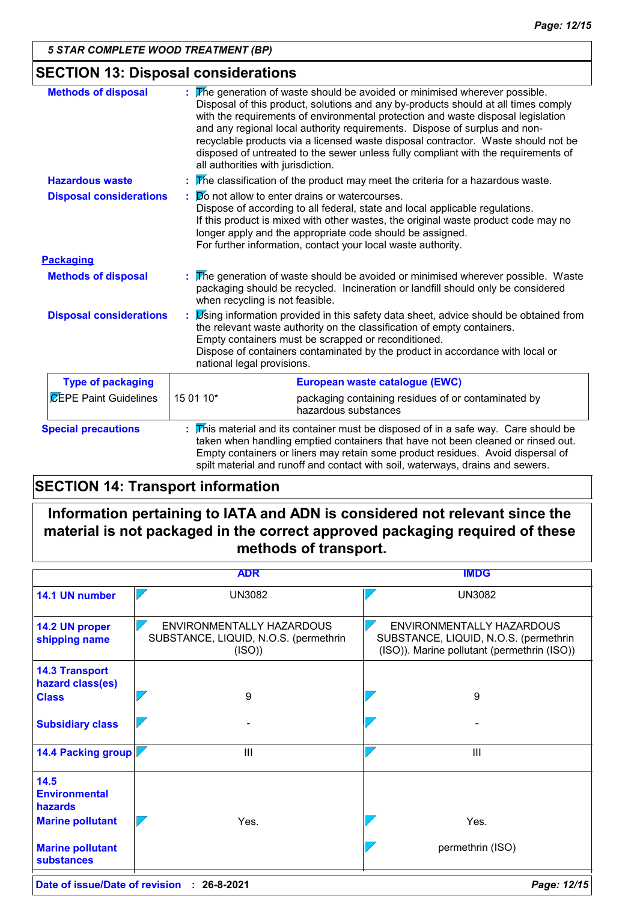# **SECTION 13: Disposal considerations**

| <b>Methods of disposal</b>     | The generation of waste should be avoided or minimised wherever possible.<br>Disposal of this product, solutions and any by-products should at all times comply<br>with the requirements of environmental protection and waste disposal legislation<br>and any regional local authority requirements. Dispose of surplus and non-<br>recyclable products via a licensed waste disposal contractor. Waste should not be<br>disposed of untreated to the sewer unless fully compliant with the requirements of<br>all authorities with jurisdiction. |  |
|--------------------------------|----------------------------------------------------------------------------------------------------------------------------------------------------------------------------------------------------------------------------------------------------------------------------------------------------------------------------------------------------------------------------------------------------------------------------------------------------------------------------------------------------------------------------------------------------|--|
| <b>Hazardous waste</b>         | The classification of the product may meet the criteria for a hazardous waste.                                                                                                                                                                                                                                                                                                                                                                                                                                                                     |  |
| <b>Disposal considerations</b> | Do not allow to enter drains or watercourses.<br>Dispose of according to all federal, state and local applicable regulations.<br>If this product is mixed with other wastes, the original waste product code may no<br>longer apply and the appropriate code should be assigned.<br>For further information, contact your local waste authority.                                                                                                                                                                                                   |  |
| <b>Packaging</b>               |                                                                                                                                                                                                                                                                                                                                                                                                                                                                                                                                                    |  |
| <b>Methods of disposal</b>     | The generation of waste should be avoided or minimised wherever possible. Waste<br>packaging should be recycled. Incineration or landfill should only be considered<br>when recycling is not feasible.                                                                                                                                                                                                                                                                                                                                             |  |
| <b>Disposal considerations</b> | Using information provided in this safety data sheet, advice should be obtained from<br>the relevant waste authority on the classification of empty containers.<br>Empty containers must be scrapped or reconditioned.<br>Dispose of containers contaminated by the product in accordance with local or<br>national legal provisions.                                                                                                                                                                                                              |  |
| <b>Type of packaging</b>       | European waste catalogue (EWC)                                                                                                                                                                                                                                                                                                                                                                                                                                                                                                                     |  |
| <b>CEPE Paint Guidelines</b>   | 15 01 10*<br>packaging containing residues of or contaminated by<br>hazardous substances                                                                                                                                                                                                                                                                                                                                                                                                                                                           |  |
| <b>Special precautions</b>     | This material and its container must be disposed of in a safe way. Care should be<br>taken when handling emptied containers that have not been cleaned or rinsed out.<br>Empty containers or liners may retain some product residues. Avoid dispersal of<br>spilt material and runoff and contact with soil, waterways, drains and sewers.                                                                                                                                                                                                         |  |

# **SECTION 14: Transport information**

# **Information pertaining to IATA and ADN is considered not relevant since the material is not packaged in the correct approved packaging required of these methods of transport.**

|                                                                           | <b>ADR</b>                                                                  | <b>IMDG</b>                                                                                                       |
|---------------------------------------------------------------------------|-----------------------------------------------------------------------------|-------------------------------------------------------------------------------------------------------------------|
| 14.1 UN number                                                            | <b>UN3082</b>                                                               | <b>UN3082</b>                                                                                                     |
| 14.2 UN proper<br>shipping name                                           | ENVIRONMENTALLY HAZARDOUS<br>SUBSTANCE, LIQUID, N.O.S. (permethrin<br>(ISO) | ENVIRONMENTALLY HAZARDOUS<br>SUBSTANCE, LIQUID, N.O.S. (permethrin<br>(ISO)). Marine pollutant (permethrin (ISO)) |
| <b>14.3 Transport</b><br>hazard class(es)<br><b>Class</b>                 | 9                                                                           | 9                                                                                                                 |
| <b>Subsidiary class</b>                                                   |                                                                             |                                                                                                                   |
| 14.4 Packing group                                                        | $\mathbf{III}$                                                              | III                                                                                                               |
| 14.5<br><b>Environmental</b><br><b>hazards</b><br><b>Marine pollutant</b> | Yes.                                                                        | Yes.                                                                                                              |
| <b>Marine pollutant</b><br><b>substances</b>                              |                                                                             | permethrin (ISO)                                                                                                  |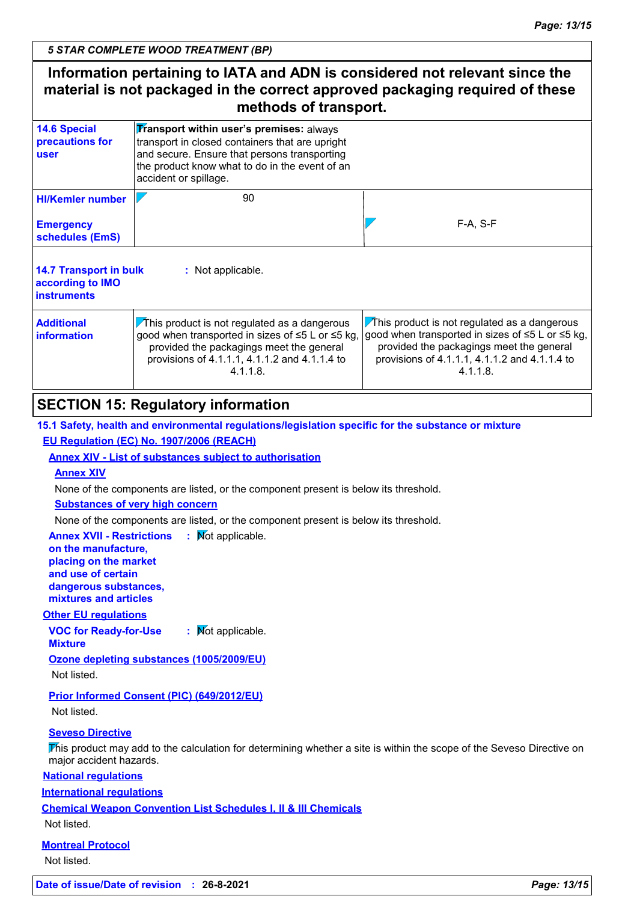| Information pertaining to IATA and ADN is considered not relevant since the<br>material is not packaged in the correct approved packaging required of these<br>methods of transport. |                                                                                                                                                                                                                        |                                                                                                                                                                                                                    |
|--------------------------------------------------------------------------------------------------------------------------------------------------------------------------------------|------------------------------------------------------------------------------------------------------------------------------------------------------------------------------------------------------------------------|--------------------------------------------------------------------------------------------------------------------------------------------------------------------------------------------------------------------|
| <b>14.6 Special</b><br>precautions for<br>user                                                                                                                                       | Transport within user's premises: always<br>transport in closed containers that are upright<br>and secure. Ensure that persons transporting<br>the product know what to do in the event of an<br>accident or spillage. |                                                                                                                                                                                                                    |
| <b>HI/Kemler number</b><br><b>Emergency</b><br>schedules (EmS)                                                                                                                       | 90                                                                                                                                                                                                                     | $F-A, S-F$                                                                                                                                                                                                         |
| <b>14.7 Transport in bulk</b><br>according to IMO<br><b>instruments</b>                                                                                                              | : Not applicable.                                                                                                                                                                                                      |                                                                                                                                                                                                                    |
| <b>Additional</b><br>information                                                                                                                                                     | $\sqrt{T}$ his product is not regulated as a dangerous<br>good when transported in sizes of ≤5 L or ≤5 kg,<br>provided the packagings meet the general<br>provisions of 4.1.1.1, 4.1.1.2 and 4.1.1.4 to<br>$4.1.1.8$ . | $\sqrt{T}$ his product is not regulated as a dangerous<br>good when transported in sizes of ≤5 L or ≤5 kg,<br>provided the packagings meet the general<br>provisions of 4.1.1.1, 4.1.1.2 and 4.1.1.4 to<br>4.1.1.8 |
| SECTION 15: Requistory information                                                                                                                                                   |                                                                                                                                                                                                                        |                                                                                                                                                                                                                    |

# **SECTION 15: Regulatory information**

**15.1 Safety, health and environmental regulations/legislation specific for the substance or mixture EU Regulation (EC) No. 1907/2006 (REACH)**

#### **Annex XIV - List of substances subject to authorisation**

#### **Annex XIV**

None of the components are listed, or the component present is below its threshold.

#### **Substances of very high concern**

None of the components are listed, or the component present is below its threshold.

**Annex XVII - Restrictions : Mot applicable. on the manufacture, placing on the market and use of certain** 

**dangerous substances, mixtures and articles**

#### **Other EU regulations**

**VOC for Ready-for-Use :** Not applicable.

**Mixture**

**Ozone depleting substances (1005/2009/EU)**

Not listed.

#### **Prior Informed Consent (PIC) (649/2012/EU)**

Not listed.

#### **Seveso Directive**

This product may add to the calculation for determining whether a site is within the scope of the Seveso Directive on major accident hazards.

#### **National regulations**

**International regulations**

**Chemical Weapon Convention List Schedules I, II & III Chemicals**

Not listed.

#### **Montreal Protocol** Not listed.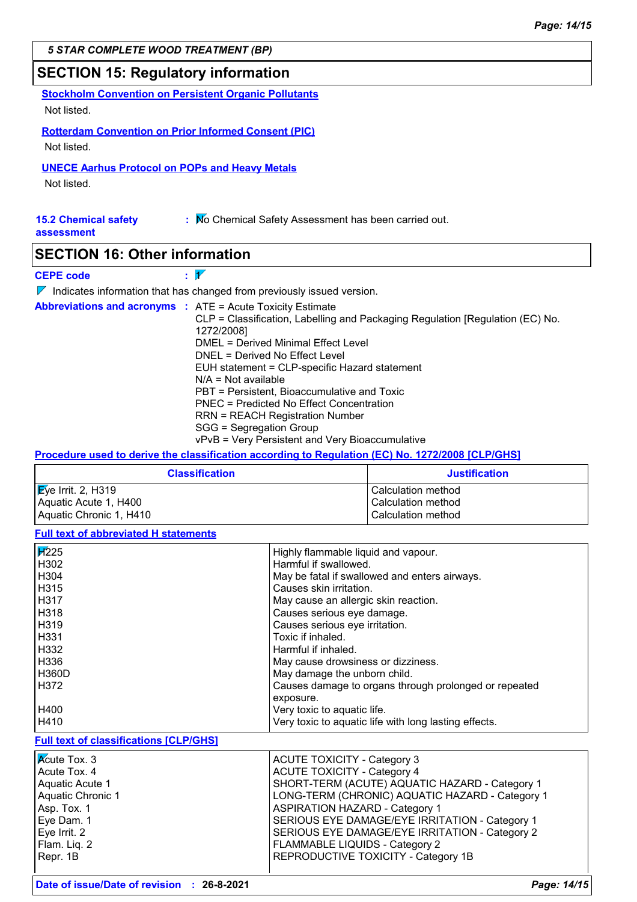# **SECTION 15: Regulatory information**

**Stockholm Convention on Persistent Organic Pollutants** Not listed.

**Rotterdam Convention on Prior Informed Consent (PIC)**

Not listed.

**UNECE Aarhus Protocol on POPs and Heavy Metals**

Not listed.

| <b>15.2 Chemical safety</b> | : Mo Chemical Safety Assessment has been carried out. |
|-----------------------------|-------------------------------------------------------|
| assessment                  |                                                       |

### **SECTION 16: Other information**

## **CEPE code**  $\overline{\mathscr{V}}$

 $\nabla$  Indicates information that has changed from previously issued version.

|  | <b>Abbreviations and acronyms : ATE = Acute Toxicity Estimate</b>             |
|--|-------------------------------------------------------------------------------|
|  | CLP = Classification, Labelling and Packaging Regulation [Regulation (EC) No. |
|  | 1272/2008]                                                                    |
|  | DMEL = Derived Minimal Effect Level                                           |
|  | DNEL = Derived No Effect Level                                                |
|  | EUH statement = CLP-specific Hazard statement                                 |
|  | $N/A = Not available$                                                         |
|  | PBT = Persistent, Bioaccumulative and Toxic                                   |
|  | PNEC = Predicted No Effect Concentration                                      |
|  | <b>RRN = REACH Registration Number</b>                                        |
|  | SGG = Segregation Group                                                       |
|  | vPvB = Very Persistent and Very Bioaccumulative                               |

**Procedure used to derive the classification according to Regulation (EC) No. 1272/2008 [CLP/GHS]**

| <b>Classification</b>          | <b>Justification</b> |
|--------------------------------|----------------------|
| $\mathbb{E}$ ye Irrit. 2, H319 | Calculation method   |
| Aquatic Acute 1, H400          | l Calculation method |
| Aquatic Chronic 1, H410        | Calculation method   |

**Full text of abbreviated H statements**

| <b>Acute Tox. 3</b>                           | <b>ACUTE TOXICITY - Category 3</b>                    |
|-----------------------------------------------|-------------------------------------------------------|
| <b>Full text of classifications [CLP/GHS]</b> |                                                       |
| H410                                          | Very toxic to aquatic life with long lasting effects. |
| H400                                          | Very toxic to aquatic life.                           |
|                                               | exposure.                                             |
| H372                                          | Causes damage to organs through prolonged or repeated |
| <b>H360D</b>                                  | May damage the unborn child.                          |
| H336                                          | May cause drowsiness or dizziness.                    |
| H332                                          | Harmful if inhaled.                                   |
| H331                                          | Toxic if inhaled.                                     |
| H <sub>319</sub>                              | Causes serious eye irritation.                        |
| H318                                          | Causes serious eye damage.                            |
| H317                                          | May cause an allergic skin reaction.                  |
| H315                                          | Causes skin irritation.                               |
| H <sub>304</sub>                              | May be fatal if swallowed and enters airways.         |
| H302                                          | Harmful if swallowed.                                 |
| $\sqrt{1/2}$ 25                               | Highly flammable liquid and vapour.                   |

| $\overline{\mathsf{K}}$ cute Tox. 3 | <b>ACUTE TOXICITY - Category 3</b>              |
|-------------------------------------|-------------------------------------------------|
| Acute Tox. 4                        | <b>ACUTE TOXICITY - Category 4</b>              |
| Aquatic Acute 1                     | SHORT-TERM (ACUTE) AQUATIC HAZARD - Category 1  |
| Aquatic Chronic 1                   | LONG-TERM (CHRONIC) AQUATIC HAZARD - Category 1 |
| Asp. Tox. 1                         | ASPIRATION HAZARD - Category 1                  |
| Eye Dam. 1                          | SERIOUS EYE DAMAGE/EYE IRRITATION - Category 1  |
| Eye Irrit. 2                        | SERIOUS EYE DAMAGE/EYE IRRITATION - Category 2  |
| Flam. Liq. 2                        | FLAMMABLE LIQUIDS - Category 2                  |
| Repr. 1B                            | REPRODUCTIVE TOXICITY - Category 1B             |
|                                     |                                                 |